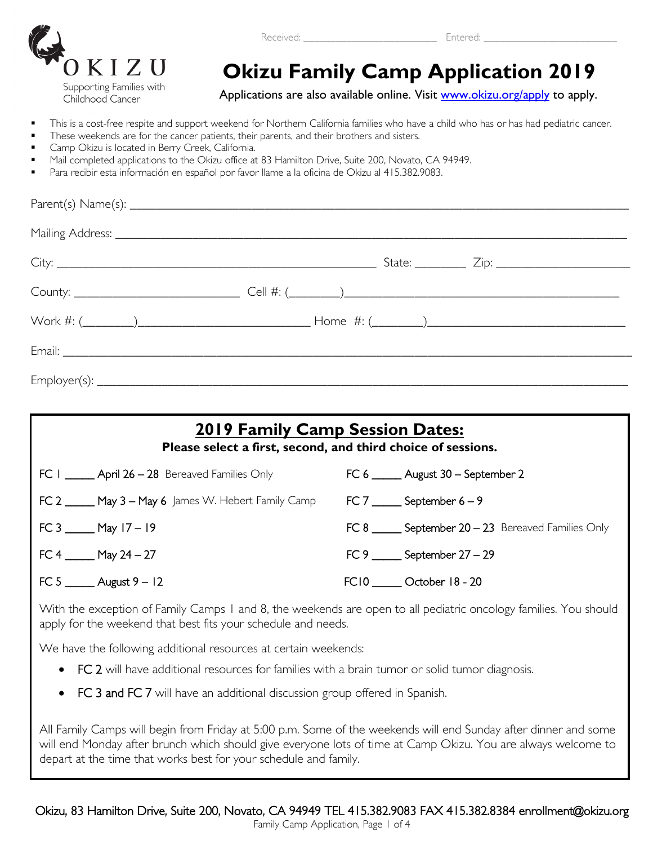

#### Received: <u>Entered:</u>

# **OKIZU CRIZU CAMILY Camp Application 2019**<br> *Childhood Cancer* **Applications are also available online. Visit www.okizu.org/apply to apply.**

- This is a cost-free respite and support weekend for Northern California families who have a child who has or has had pediatric cancer.
- These weekends are for the cancer patients, their parents, and their brothers and sisters.
- Camp Okizu is located in Berry Creek, California.
- Mail completed applications to the Okizu office at 83 Hamilton Drive, Suite 200, Novato, CA 94949.
- Para recibir esta información en español por favor llame a la oficina de Okizu al 415.382.9083.

| <b>2019 Family Camp Session Dates:</b><br>Please select a first, second, and third choice of sessions. |                                                           |  |  |  |
|--------------------------------------------------------------------------------------------------------|-----------------------------------------------------------|--|--|--|
| $FC I$ ______ April 26 – 28 Bereaved Families Only                                                     | FC 6 ______ August 30 - September 2                       |  |  |  |
| <b>FC 2 _____ May 3 – May 6</b> James W. Hebert Family Camp                                            | $FC 7$ _______ September 6 – 9                            |  |  |  |
| FC 3 ______ May $17 - 19$                                                                              | FC $8$ _______ September $20 - 23$ Bereaved Families Only |  |  |  |
| FC 4 ______ May 24 $-$ 27                                                                              | FC 9 ______ September $27-29$                             |  |  |  |
| FC 5 ______ August 9 $-12$                                                                             | FC10 ______ October 18 - 20                               |  |  |  |

With the exception of Family Camps 1 and 8, the weekends are open to all pediatric oncology families. You should apply for the weekend that best fits your schedule and needs.

We have the following additional resources at certain weekends:

- FC 2 will have additional resources for families with a brain tumor or solid tumor diagnosis.
- FC 3 and FC 7 will have an additional discussion group offered in Spanish.

All Family Camps will begin from Friday at 5:00 p.m. Some of the weekends will end Sunday after dinner and some will end Monday after brunch which should give everyone lots of time at Camp Okizu. You are always welcome to depart at the time that works best for your schedule and family.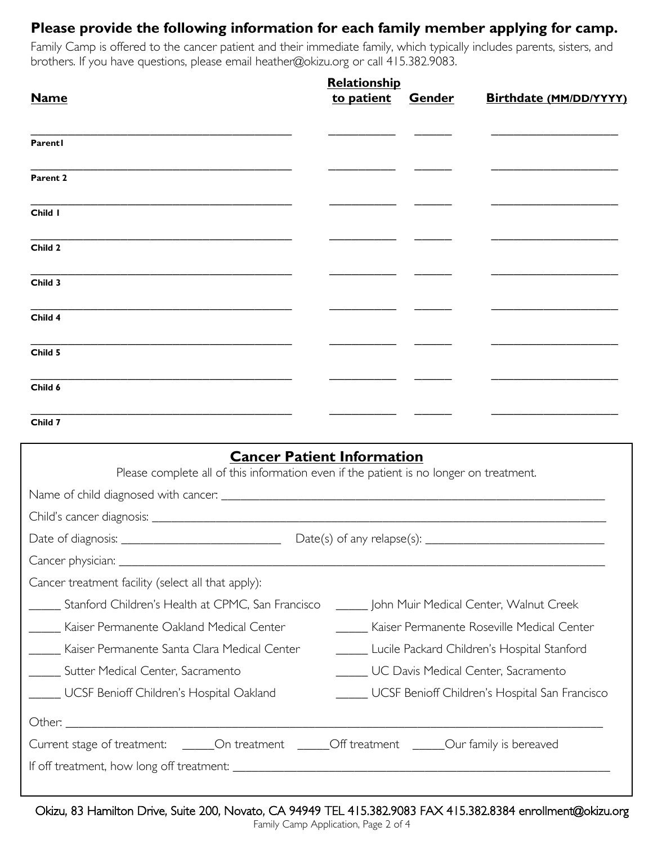#### **Please provide the following information for each family member applying for camp.**

Family Camp is offered to the cancer patient and their immediate family, which typically includes parents, sisters, and brothers. If you have questions, please email heather@okizu.org or call 415.382.9083.

|             | Relationship |               |                        |  |
|-------------|--------------|---------------|------------------------|--|
| <b>Name</b> | to patient   | <b>Gender</b> | Birthdate (MM/DD/YYYY) |  |
| Parentl     |              |               |                        |  |
| Parent 2    |              |               |                        |  |
| Child I     |              |               |                        |  |
| Child 2     |              |               |                        |  |
| Child 3     |              |               |                        |  |
| Child 4     |              |               |                        |  |
| Child 5     |              |               |                        |  |
| Child 6     |              |               |                        |  |
| Child 7     |              |               |                        |  |

| <b>Cancer Patient Information</b>                                                              |                                                |  |  |  |  |
|------------------------------------------------------------------------------------------------|------------------------------------------------|--|--|--|--|
| Please complete all of this information even if the patient is no longer on treatment.         |                                                |  |  |  |  |
|                                                                                                |                                                |  |  |  |  |
|                                                                                                |                                                |  |  |  |  |
|                                                                                                |                                                |  |  |  |  |
|                                                                                                |                                                |  |  |  |  |
| Cancer treatment facility (select all that apply):                                             |                                                |  |  |  |  |
| Stanford Children's Health at CPMC, San Francisco                                              | ______ John Muir Medical Center, Walnut Creek  |  |  |  |  |
| Kaiser Permanente Oakland Medical Center                                                       | Kaiser Permanente Roseville Medical Center     |  |  |  |  |
| Kaiser Permanente Santa Clara Medical Center                                                   | Lucile Packard Children's Hospital Stanford    |  |  |  |  |
| Sutter Medical Center, Sacramento                                                              | UC Davis Medical Center, Sacramento            |  |  |  |  |
| UCSF Benioff Children's Hospital Oakland                                                       | UCSF Benioff Children's Hospital San Francisco |  |  |  |  |
|                                                                                                |                                                |  |  |  |  |
| Current stage of treatment: ______On treatment ______Off treatment _____Our family is bereaved |                                                |  |  |  |  |
|                                                                                                |                                                |  |  |  |  |
|                                                                                                |                                                |  |  |  |  |

Okizu, 83 Hamilton Drive, Suite 200, Novato, CA 94949 TEL 415.382.9083 FAX 415.382.8384 enrollment@okizu.org<br>Family Camp Application, Page 2 of 4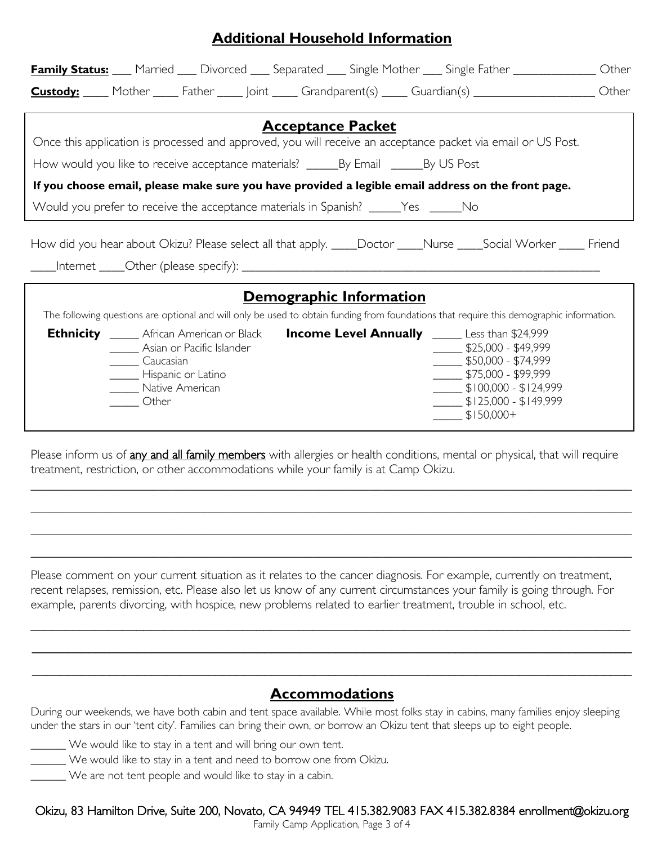| <b>Family Status:</b> Married ___ Divorced ___ Separated ___ Single Mother ___ Single Father ____________<br>Other                                                                                                                                                                                                                                                                                                          |  |  |  |  |
|-----------------------------------------------------------------------------------------------------------------------------------------------------------------------------------------------------------------------------------------------------------------------------------------------------------------------------------------------------------------------------------------------------------------------------|--|--|--|--|
| <b>Custody:</b> Mother Father Joint Grandparent(s) Guardian(s) Custom Mother                                                                                                                                                                                                                                                                                                                                                |  |  |  |  |
|                                                                                                                                                                                                                                                                                                                                                                                                                             |  |  |  |  |
| <b>Acceptance Packet</b>                                                                                                                                                                                                                                                                                                                                                                                                    |  |  |  |  |
| Once this application is processed and approved, you will receive an acceptance packet via email or US Post.                                                                                                                                                                                                                                                                                                                |  |  |  |  |
|                                                                                                                                                                                                                                                                                                                                                                                                                             |  |  |  |  |
| If you choose email, please make sure you have provided a legible email address on the front page.                                                                                                                                                                                                                                                                                                                          |  |  |  |  |
| Would you prefer to receive the acceptance materials in Spanish? _____Yes _____No                                                                                                                                                                                                                                                                                                                                           |  |  |  |  |
| How did you hear about Okizu? Please select all that apply. ____Doctor ____Nurse ____Social Worker _____ Friend                                                                                                                                                                                                                                                                                                             |  |  |  |  |
| Demographic Information                                                                                                                                                                                                                                                                                                                                                                                                     |  |  |  |  |
| The following questions are optional and will only be used to obtain funding from foundations that require this demographic information.                                                                                                                                                                                                                                                                                    |  |  |  |  |
| <b>Ethnicity</b> _____ African American or Black <b>Income Level Annually</b> _____ Less than \$24,999<br>_____ Asian or Pacific Islander<br>$\frac{1}{2}$ \$25,000 - \$49,999<br>$\frac{1}{2}$ \$50,000 - \$74,999<br>Caucasian<br>$\frac{1}{2}$ \$75,000 - \$99,999<br>_______ Hispanic or Latino<br>$$100,000 - $124,999$<br>Native American<br>$\frac{1}{2}$ \$125,000 - \$149,999<br>Other<br>$\frac{1}{2}$ \$150,000+ |  |  |  |  |

**Additional Household Information**

Please inform us of any and all family members with allergies or health conditions, mental or physical, that will require treatment, restriction, or other accommodations while your family is at Camp Okizu.

**\_\_\_\_\_\_\_\_\_\_\_\_\_\_\_\_\_\_\_\_\_\_\_\_\_\_\_\_\_\_\_\_\_\_\_\_\_\_\_\_\_\_\_\_\_\_\_\_\_\_\_\_\_\_\_\_\_\_\_\_\_\_\_\_\_\_\_\_\_\_\_\_\_\_\_\_\_\_\_\_\_\_\_\_\_\_\_\_\_\_\_\_\_\_**

**\_\_\_\_\_\_\_\_\_\_\_\_\_\_\_\_\_\_\_\_\_\_\_\_\_\_\_\_\_\_\_\_\_\_\_\_\_\_\_\_\_\_\_\_\_\_\_\_\_\_\_\_\_\_\_\_\_\_\_\_\_\_\_\_\_\_\_\_\_\_\_\_\_\_\_\_\_\_\_\_\_\_\_\_\_\_\_\_\_\_\_\_\_\_** 

**\_\_\_\_\_\_\_\_\_\_\_\_\_\_\_\_\_\_\_\_\_\_\_\_\_\_\_\_\_\_\_\_\_\_\_\_\_\_\_\_\_\_\_\_\_\_\_\_\_\_\_\_\_\_\_\_\_\_\_\_\_\_\_\_\_\_\_\_\_\_\_\_\_\_\_\_\_\_\_\_\_\_\_\_\_\_\_\_\_\_\_\_\_\_** 

**\_\_\_\_\_\_\_\_\_\_\_\_\_\_\_\_\_\_\_\_\_\_\_\_\_\_\_\_\_\_\_\_\_\_\_\_\_\_\_\_\_\_\_\_\_\_\_\_\_\_\_\_\_\_\_\_\_\_\_\_\_\_\_\_\_\_\_\_\_\_\_\_\_\_\_\_\_\_\_\_\_\_\_\_\_\_\_\_\_\_\_\_\_\_** 

Please comment on your current situation as it relates to the cancer diagnosis. For example, currently on treatment, recent relapses, remission, etc. Please also let us know of any current circumstances your family is going through. For example, parents divorcing, with hospice, new problems related to earlier treatment, trouble in school, etc.

\_\_\_\_\_\_\_\_\_\_\_\_\_\_\_\_\_\_\_\_\_\_\_\_\_\_\_\_\_\_\_\_\_\_\_\_\_\_\_\_\_\_\_\_\_\_\_\_\_\_\_\_\_\_\_\_\_\_\_\_\_\_\_\_\_\_\_\_\_\_\_\_\_\_\_\_\_\_\_\_\_\_\_\_\_

\_\_\_\_\_\_\_\_\_\_\_\_\_\_\_\_\_\_\_\_\_\_\_\_\_\_\_\_\_\_\_\_\_\_\_\_\_\_\_\_\_\_\_\_\_\_\_\_\_\_\_\_\_\_\_\_\_\_\_\_\_\_\_\_\_\_\_\_\_\_\_\_\_\_\_\_\_\_\_\_\_\_\_\_\_

\_\_\_\_\_\_\_\_\_\_\_\_\_\_\_\_\_\_\_\_\_\_\_\_\_\_\_\_\_\_\_\_\_\_\_\_\_\_\_\_\_\_\_\_\_\_\_\_\_\_\_\_\_\_\_\_\_\_\_\_\_\_\_\_\_\_\_\_\_\_\_\_\_\_\_\_\_\_\_\_\_\_\_\_\_

#### **Accommodations**

During our weekends, we have both cabin and tent space available. While most folks stay in cabins, many families enjoy sleeping under the stars in our 'tent city'. Families can bring their own, or borrow an Okizu tent that sleeps up to eight people.

- \_\_\_\_\_\_ We would like to stay in a tent and will bring our own tent.
- \_\_\_\_\_\_ We would like to stay in a tent and need to borrow one from Okizu.
- \_\_\_\_\_\_ We are not tent people and would like to stay in a cabin.

## Okizu, 83 Hamilton Drive, Suite 200, Novato, CA 94949 TEL 415.382.9083 FAX 415.382.8384 enrollment@okizu.org<br>Family Camp Application, Page 3 of 4